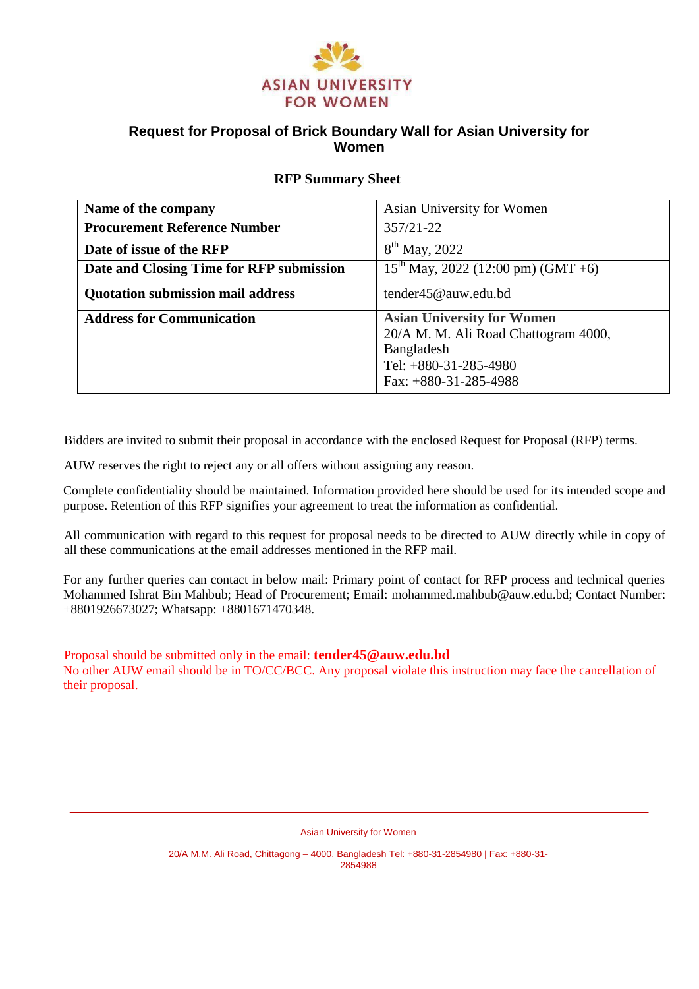

# **Request for Proposal of Brick Boundary Wall for Asian University for Women**

### **RFP Summary Sheet**

| Name of the company                      | Asian University for Women                                                                                                                    |  |
|------------------------------------------|-----------------------------------------------------------------------------------------------------------------------------------------------|--|
| <b>Procurement Reference Number</b>      | $357/21 - 22$                                                                                                                                 |  |
| Date of issue of the RFP                 | $8^{th}$ May, 2022                                                                                                                            |  |
| Date and Closing Time for RFP submission | $15^{th}$ May, 2022 (12:00 pm) (GMT +6)                                                                                                       |  |
| <b>Quotation submission mail address</b> | tender45@auw.edu.bd                                                                                                                           |  |
| <b>Address for Communication</b>         | <b>Asian University for Women</b><br>20/A M. M. Ali Road Chattogram 4000,<br>Bangladesh<br>Tel: $+880-31-285-4980$<br>Fax: $+880-31-285-4988$ |  |

Bidders are invited to submit their proposal in accordance with the enclosed Request for Proposal (RFP) terms.

AUW reserves the right to reject any or all offers without assigning any reason.

Complete confidentiality should be maintained. Information provided here should be used for its intended scope and purpose. Retention of this RFP signifies your agreement to treat the information as confidential.

All communication with regard to this request for proposal needs to be directed to AUW directly while in copy of all these communications at the email addresses mentioned in the RFP mail.

For any further queries can contact in below mail: Primary point of contact for RFP process and technical queries Mohammed Ishrat Bin Mahbub; Head of Procurement; Email: mohammed.mahbub@auw.edu.bd; Contact Number: +8801926673027; Whatsapp: +8801671470348.

Proposal should be submitted only in the email: **tender45@auw.edu.bd**

No other AUW email should be in TO/CC/BCC. Any proposal violate this instruction may face the cancellation of their proposal.

Asian University for Women

20/A M.M. Ali Road, Chittagong – 4000, Bangladesh Tel: +880-31-2854980 | Fax: +880-31- 2854988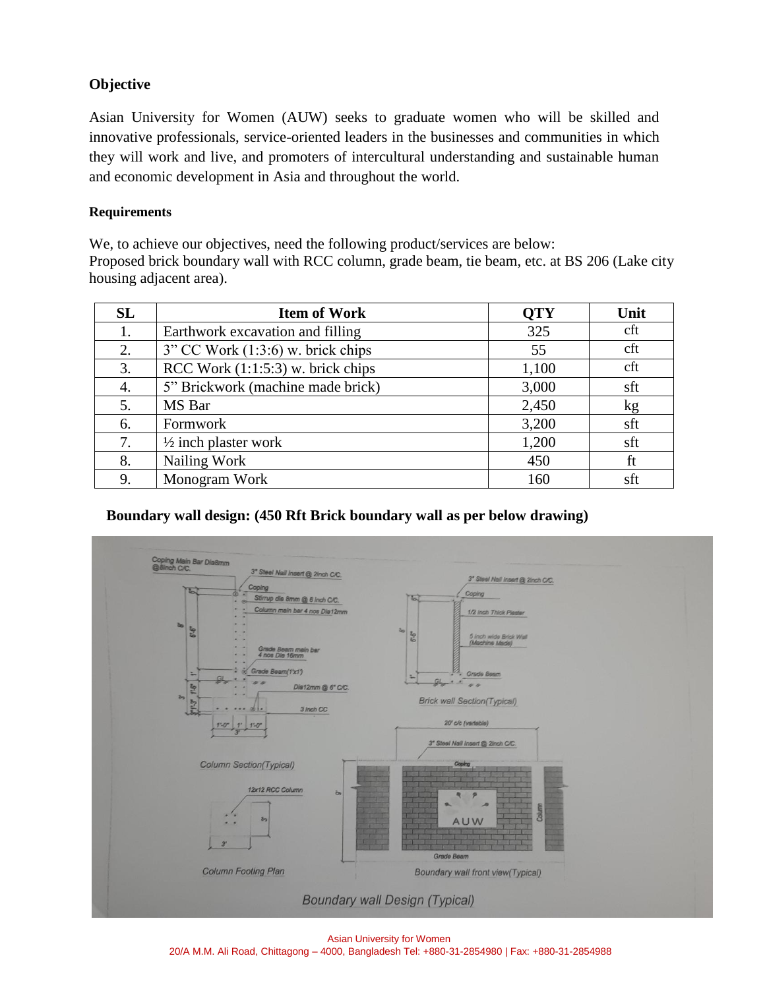# **Objective**

Asian University for Women (AUW) seeks to graduate women who will be skilled and innovative professionals, service-oriented leaders in the businesses and communities in which they will work and live, and promoters of intercultural understanding and sustainable human and economic development in Asia and throughout the world.

### **Requirements**

We, to achieve our objectives, need the following product/services are below: Proposed brick boundary wall with RCC column, grade beam, tie beam, etc. at BS 206 (Lake city housing adjacent area).

| SL | <b>Item of Work</b>                    | <b>QTY</b> | Unit |
|----|----------------------------------------|------------|------|
| 1. | Earthwork excavation and filling       | 325        | cft  |
| 2. | $3$ " CC Work $(1:3:6)$ w. brick chips | 55         | cft  |
| 3. | RCC Work $(1:1:5:3)$ w. brick chips    | 1,100      | cft  |
| 4. | 5" Brickwork (machine made brick)      | 3,000      | sft  |
| 5. | MS Bar                                 | 2,450      | kg   |
| 6. | Formwork                               | 3,200      | sft  |
| 7. | $\frac{1}{2}$ inch plaster work        | 1,200      | sft  |
| 8. | Nailing Work                           | 450        | ft   |
| 9. | Monogram Work                          | 160        | sft  |

# **Boundary wall design: (450 Rft Brick boundary wall as per below drawing)**



Asian University for Women